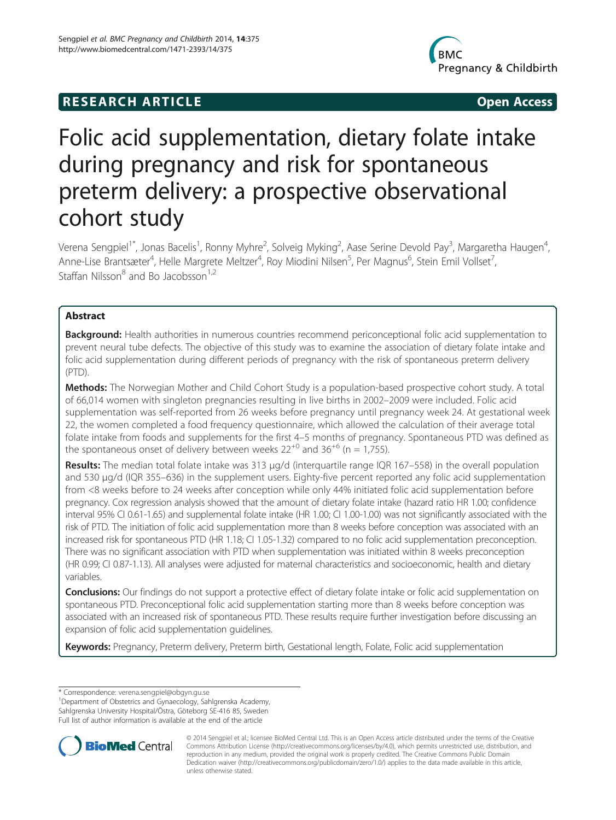## **RESEARCH ARTICLE CONSUMING A RESEARCH ARTICLE**



# Folic acid supplementation, dietary folate intake during pregnancy and risk for spontaneous preterm delivery: a prospective observational cohort study

Verena Sengpiel<sup>1\*</sup>, Jonas Bacelis<sup>1</sup>, Ronny Myhre<sup>2</sup>, Solveig Myking<sup>2</sup>, Aase Serine Devold Pay<sup>3</sup>, Margaretha Haugen<sup>4</sup> , Anne-Lise Brantsæter<sup>4</sup>, Helle Margrete Meltzer<sup>4</sup>, Roy Miodini Nilsen<sup>5</sup>, Per Magnus<sup>6</sup>, Stein Emil Vollset<sup>7</sup> , Staffan Nilsson $8$  and Bo Jacobsson<sup>1,2</sup>

## Abstract

Background: Health authorities in numerous countries recommend periconceptional folic acid supplementation to prevent neural tube defects. The objective of this study was to examine the association of dietary folate intake and folic acid supplementation during different periods of pregnancy with the risk of spontaneous preterm delivery (PTD).

Methods: The Norwegian Mother and Child Cohort Study is a population-based prospective cohort study. A total of 66,014 women with singleton pregnancies resulting in live births in 2002–2009 were included. Folic acid supplementation was self-reported from 26 weeks before pregnancy until pregnancy week 24. At gestational week 22, the women completed a food frequency questionnaire, which allowed the calculation of their average total folate intake from foods and supplements for the first 4–5 months of pregnancy. Spontaneous PTD was defined as the spontaneous onset of delivery between weeks  $22^{+0}$  and  $36^{+6}$  (n = 1,755).

Results: The median total folate intake was 313 μg/d (interquartile range IQR 167-558) in the overall population and 530 μg/d (IQR 355–636) in the supplement users. Eighty-five percent reported any folic acid supplementation from <8 weeks before to 24 weeks after conception while only 44% initiated folic acid supplementation before pregnancy. Cox regression analysis showed that the amount of dietary folate intake (hazard ratio HR 1.00; confidence interval 95% CI 0.61-1.65) and supplemental folate intake (HR 1.00; CI 1.00-1.00) was not significantly associated with the risk of PTD. The initiation of folic acid supplementation more than 8 weeks before conception was associated with an increased risk for spontaneous PTD (HR 1.18; CI 1.05-1.32) compared to no folic acid supplementation preconception. There was no significant association with PTD when supplementation was initiated within 8 weeks preconception (HR 0.99; CI 0.87-1.13). All analyses were adjusted for maternal characteristics and socioeconomic, health and dietary variables.

Conclusions: Our findings do not support a protective effect of dietary folate intake or folic acid supplementation on spontaneous PTD. Preconceptional folic acid supplementation starting more than 8 weeks before conception was associated with an increased risk of spontaneous PTD. These results require further investigation before discussing an expansion of folic acid supplementation guidelines.

Keywords: Pregnancy, Preterm delivery, Preterm birth, Gestational length, Folate, Folic acid supplementation

\* Correspondence: [verena.sengpiel@obgyn.gu.se](mailto:verena.sengpiel@obgyn.gu.se) <sup>1</sup>

<sup>1</sup>Department of Obstetrics and Gynaecology, Sahlgrenska Academy, Sahlgrenska University Hospital/Östra, Göteborg SE-416 85, Sweden Full list of author information is available at the end of the article



© 2014 Sengpiel et al.; licensee BioMed Central Ltd. This is an Open Access article distributed under the terms of the Creative Commons Attribution License [\(http://creativecommons.org/licenses/by/4.0\)](http://creativecommons.org/licenses/by/4.0), which permits unrestricted use, distribution, and reproduction in any medium, provided the original work is properly credited. The Creative Commons Public Domain Dedication waiver [\(http://creativecommons.org/publicdomain/zero/1.0/](http://creativecommons.org/publicdomain/zero/1.0/)) applies to the data made available in this article, unless otherwise stated.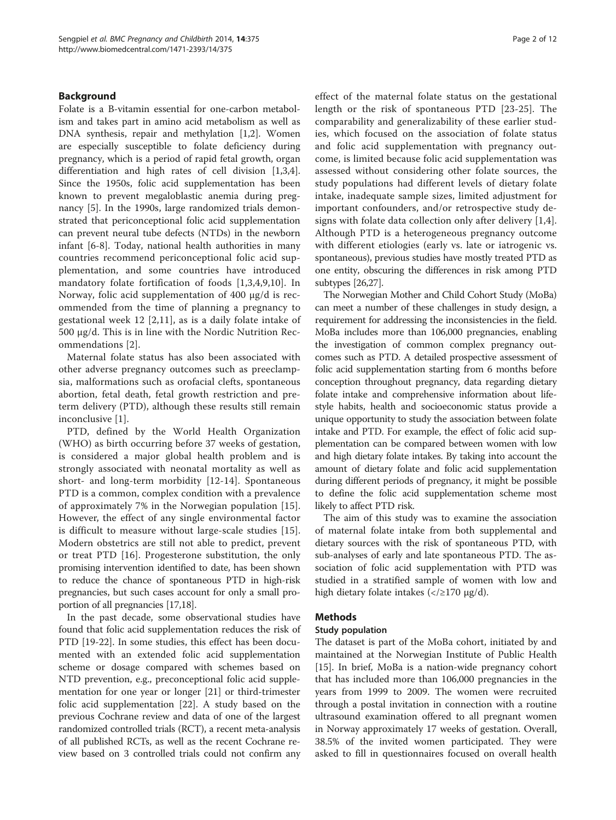#### **Background**

Folate is a B-vitamin essential for one-carbon metabolism and takes part in amino acid metabolism as well as DNA synthesis, repair and methylation [[1,2\]](#page-9-0). Women are especially susceptible to folate deficiency during pregnancy, which is a period of rapid fetal growth, organ differentiation and high rates of cell division [\[1,3,4](#page-9-0)]. Since the 1950s, folic acid supplementation has been known to prevent megaloblastic anemia during pregnancy [\[5](#page-9-0)]. In the 1990s, large randomized trials demonstrated that periconceptional folic acid supplementation can prevent neural tube defects (NTDs) in the newborn infant [[6-8](#page-9-0)]. Today, national health authorities in many countries recommend periconceptional folic acid supplementation, and some countries have introduced mandatory folate fortification of foods [[1,3,4,9,10\]](#page-9-0). In Norway, folic acid supplementation of 400 μg/d is recommended from the time of planning a pregnancy to gestational week 12 [[2,11](#page-9-0)], as is a daily folate intake of 500 μg/d. This is in line with the Nordic Nutrition Recommendations [\[2](#page-9-0)].

Maternal folate status has also been associated with other adverse pregnancy outcomes such as preeclampsia, malformations such as orofacial clefts, spontaneous abortion, fetal death, fetal growth restriction and preterm delivery (PTD), although these results still remain inconclusive [\[1](#page-9-0)].

PTD, defined by the World Health Organization (WHO) as birth occurring before 37 weeks of gestation, is considered a major global health problem and is strongly associated with neonatal mortality as well as short- and long-term morbidity [[12-14\]](#page-9-0). Spontaneous PTD is a common, complex condition with a prevalence of approximately 7% in the Norwegian population [[15](#page-9-0)]. However, the effect of any single environmental factor is difficult to measure without large-scale studies [[15](#page-9-0)]. Modern obstetrics are still not able to predict, prevent or treat PTD [\[16\]](#page-10-0). Progesterone substitution, the only promising intervention identified to date, has been shown to reduce the chance of spontaneous PTD in high-risk pregnancies, but such cases account for only a small proportion of all pregnancies [[17,18\]](#page-10-0).

In the past decade, some observational studies have found that folic acid supplementation reduces the risk of PTD [\[19](#page-10-0)-[22\]](#page-10-0). In some studies, this effect has been documented with an extended folic acid supplementation scheme or dosage compared with schemes based on NTD prevention, e.g., preconceptional folic acid supplementation for one year or longer [\[21\]](#page-10-0) or third-trimester folic acid supplementation [\[22](#page-10-0)]. A study based on the previous Cochrane review and data of one of the largest randomized controlled trials (RCT), a recent meta-analysis of all published RCTs, as well as the recent Cochrane review based on 3 controlled trials could not confirm any

effect of the maternal folate status on the gestational length or the risk of spontaneous PTD [[23-25\]](#page-10-0). The comparability and generalizability of these earlier studies, which focused on the association of folate status and folic acid supplementation with pregnancy outcome, is limited because folic acid supplementation was assessed without considering other folate sources, the study populations had different levels of dietary folate intake, inadequate sample sizes, limited adjustment for important confounders, and/or retrospective study designs with folate data collection only after delivery [[1,4](#page-9-0)]. Although PTD is a heterogeneous pregnancy outcome with different etiologies (early vs. late or iatrogenic vs. spontaneous), previous studies have mostly treated PTD as one entity, obscuring the differences in risk among PTD subtypes [[26,27\]](#page-10-0).

The Norwegian Mother and Child Cohort Study (MoBa) can meet a number of these challenges in study design, a requirement for addressing the inconsistencies in the field. MoBa includes more than 106,000 pregnancies, enabling the investigation of common complex pregnancy outcomes such as PTD. A detailed prospective assessment of folic acid supplementation starting from 6 months before conception throughout pregnancy, data regarding dietary folate intake and comprehensive information about lifestyle habits, health and socioeconomic status provide a unique opportunity to study the association between folate intake and PTD. For example, the effect of folic acid supplementation can be compared between women with low and high dietary folate intakes. By taking into account the amount of dietary folate and folic acid supplementation during different periods of pregnancy, it might be possible to define the folic acid supplementation scheme most likely to affect PTD risk.

The aim of this study was to examine the association of maternal folate intake from both supplemental and dietary sources with the risk of spontaneous PTD, with sub-analyses of early and late spontaneous PTD. The association of folic acid supplementation with PTD was studied in a stratified sample of women with low and high dietary folate intakes  $\left\langle \frac{\angle 2170 \text{ μg}}{\text{d}} \right\rangle$ .

## Methods

#### Study population

The dataset is part of the MoBa cohort, initiated by and maintained at the Norwegian Institute of Public Health [[15\]](#page-9-0). In brief, MoBa is a nation-wide pregnancy cohort that has included more than 106,000 pregnancies in the years from 1999 to 2009. The women were recruited through a postal invitation in connection with a routine ultrasound examination offered to all pregnant women in Norway approximately 17 weeks of gestation. Overall, 38.5% of the invited women participated. They were asked to fill in questionnaires focused on overall health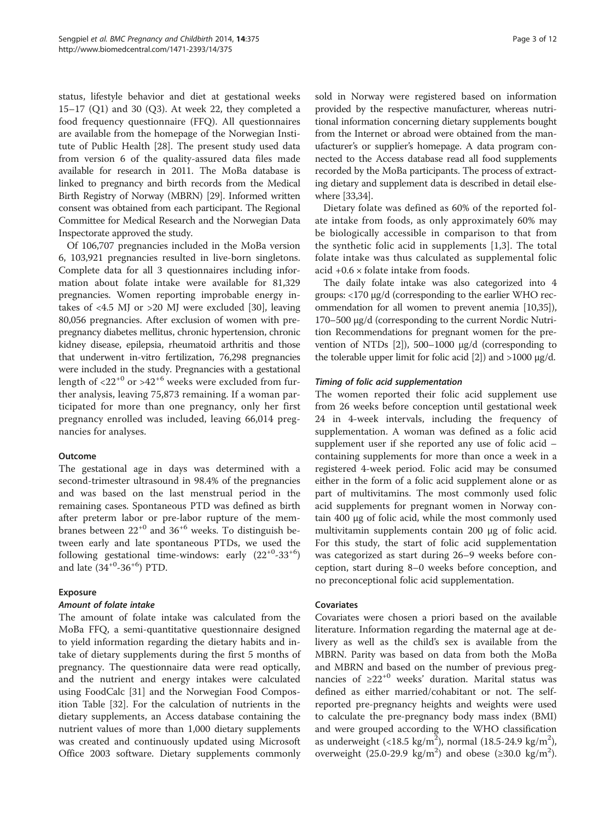status, lifestyle behavior and diet at gestational weeks 15–17 (Q1) and 30 (Q3). At week 22, they completed a food frequency questionnaire (FFQ). All questionnaires are available from the homepage of the Norwegian Institute of Public Health [\[28\]](#page-10-0). The present study used data from version 6 of the quality-assured data files made available for research in 2011. The MoBa database is linked to pregnancy and birth records from the Medical Birth Registry of Norway (MBRN) [[29](#page-10-0)]. Informed written consent was obtained from each participant. The Regional Committee for Medical Research and the Norwegian Data Inspectorate approved the study.

Of 106,707 pregnancies included in the MoBa version 6, 103,921 pregnancies resulted in live-born singletons. Complete data for all 3 questionnaires including information about folate intake were available for 81,329 pregnancies. Women reporting improbable energy intakes of <4.5 MJ or >20 MJ were excluded [\[30](#page-10-0)], leaving 80,056 pregnancies. After exclusion of women with prepregnancy diabetes mellitus, chronic hypertension, chronic kidney disease, epilepsia, rheumatoid arthritis and those that underwent in-vitro fertilization, 76,298 pregnancies were included in the study. Pregnancies with a gestational length of  $\langle 22^{+0}$  or  $>42^{+6}$  weeks were excluded from further analysis, leaving 75,873 remaining. If a woman participated for more than one pregnancy, only her first pregnancy enrolled was included, leaving 66,014 pregnancies for analyses.

#### Outcome

The gestational age in days was determined with a second-trimester ultrasound in 98.4% of the pregnancies and was based on the last menstrual period in the remaining cases. Spontaneous PTD was defined as birth after preterm labor or pre-labor rupture of the membranes between  $22^{+0}$  and  $36^{+6}$  weeks. To distinguish between early and late spontaneous PTDs, we used the following gestational time-windows: early  $(22^{+0} - 33^{+6})$ and late  $(34^{+0} - 36^{+6})$  PTD.

## Exposure

## Amount of folate intake

The amount of folate intake was calculated from the MoBa FFQ, a semi-quantitative questionnaire designed to yield information regarding the dietary habits and intake of dietary supplements during the first 5 months of pregnancy. The questionnaire data were read optically, and the nutrient and energy intakes were calculated using FoodCalc [[31\]](#page-10-0) and the Norwegian Food Composition Table [\[32\]](#page-10-0). For the calculation of nutrients in the dietary supplements, an Access database containing the nutrient values of more than 1,000 dietary supplements was created and continuously updated using Microsoft Office 2003 software. Dietary supplements commonly

sold in Norway were registered based on information provided by the respective manufacturer, whereas nutritional information concerning dietary supplements bought from the Internet or abroad were obtained from the manufacturer's or supplier's homepage. A data program connected to the Access database read all food supplements recorded by the MoBa participants. The process of extracting dietary and supplement data is described in detail elsewhere [\[33,34\]](#page-10-0).

Dietary folate was defined as 60% of the reported folate intake from foods, as only approximately 60% may be biologically accessible in comparison to that from the synthetic folic acid in supplements [[1,3](#page-9-0)]. The total folate intake was thus calculated as supplemental folic acid +0.6 × folate intake from foods.

The daily folate intake was also categorized into 4 groups: <170 μg/d (corresponding to the earlier WHO recommendation for all women to prevent anemia [\[10,](#page-9-0)[35](#page-10-0)]), 170–500 μg/d (corresponding to the current Nordic Nutrition Recommendations for pregnant women for the prevention of NTDs  $[2]$  $[2]$ ), 500–1000 μg/d (corresponding to the tolerable upper limit for folic acid [\[2\]](#page-9-0)) and  $>1000 \mu g/d$ .

## Timing of folic acid supplementation

The women reported their folic acid supplement use from 26 weeks before conception until gestational week 24 in 4-week intervals, including the frequency of supplementation. A woman was defined as a folic acid supplement user if she reported any use of folic acid – containing supplements for more than once a week in a registered 4-week period. Folic acid may be consumed either in the form of a folic acid supplement alone or as part of multivitamins. The most commonly used folic acid supplements for pregnant women in Norway contain 400 μg of folic acid, while the most commonly used multivitamin supplements contain 200 μg of folic acid. For this study, the start of folic acid supplementation was categorized as start during 26–9 weeks before conception, start during 8–0 weeks before conception, and no preconceptional folic acid supplementation.

## Covariates

Covariates were chosen a priori based on the available literature. Information regarding the maternal age at delivery as well as the child's sex is available from the MBRN. Parity was based on data from both the MoBa and MBRN and based on the number of previous pregnancies of  $\geq 22^{+0}$  weeks' duration. Marital status was defined as either married/cohabitant or not. The selfreported pre-pregnancy heights and weights were used to calculate the pre-pregnancy body mass index (BMI) and were grouped according to the WHO classification as underweight (<18.5 kg/m<sup>2</sup>), normal (18.5-24.9 kg/m<sup>2</sup>), overweight (25.0-29.9 kg/m<sup>2</sup>) and obese (≥30.0 kg/m<sup>2</sup>).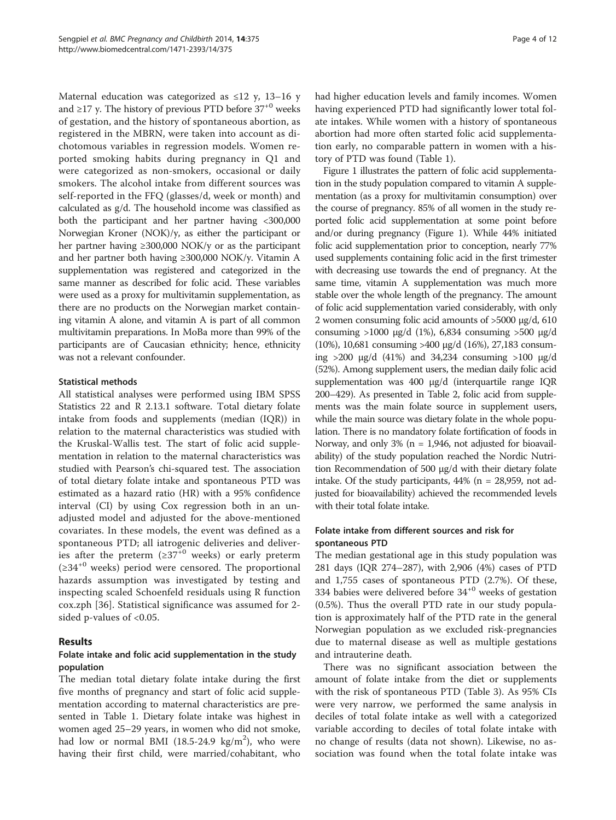Maternal education was categorized as  $\leq 12$  y, 13–16 y and ≥17 y. The history of previous PTD before  $37^{+0}$  weeks of gestation, and the history of spontaneous abortion, as registered in the MBRN, were taken into account as dichotomous variables in regression models. Women reported smoking habits during pregnancy in Q1 and were categorized as non-smokers, occasional or daily smokers. The alcohol intake from different sources was self-reported in the FFQ (glasses/d, week or month) and calculated as g/d. The household income was classified as both the participant and her partner having <300,000 Norwegian Kroner (NOK)/y, as either the participant or her partner having ≥300,000 NOK/y or as the participant and her partner both having ≥300,000 NOK/y. Vitamin A supplementation was registered and categorized in the same manner as described for folic acid. These variables were used as a proxy for multivitamin supplementation, as there are no products on the Norwegian market containing vitamin A alone, and vitamin A is part of all common multivitamin preparations. In MoBa more than 99% of the participants are of Caucasian ethnicity; hence, ethnicity was not a relevant confounder.

#### Statistical methods

All statistical analyses were performed using IBM SPSS Statistics 22 and R 2.13.1 software. Total dietary folate intake from foods and supplements (median (IQR)) in relation to the maternal characteristics was studied with the Kruskal-Wallis test. The start of folic acid supplementation in relation to the maternal characteristics was studied with Pearson's chi-squared test. The association of total dietary folate intake and spontaneous PTD was estimated as a hazard ratio (HR) with a 95% confidence interval (CI) by using Cox regression both in an unadjusted model and adjusted for the above-mentioned covariates. In these models, the event was defined as a spontaneous PTD; all iatrogenic deliveries and deliveries after the preterm  $(≥37<sup>+0</sup>$  weeks) or early preterm ( $\geq 34^{+0}$  weeks) period were censored. The proportional hazards assumption was investigated by testing and inspecting scaled Schoenfeld residuals using R function cox.zph [\[36](#page-10-0)]. Statistical significance was assumed for 2 sided p-values of <0.05.

## Results

## Folate intake and folic acid supplementation in the study population

The median total dietary folate intake during the first five months of pregnancy and start of folic acid supplementation according to maternal characteristics are presented in Table [1.](#page-4-0) Dietary folate intake was highest in women aged 25–29 years, in women who did not smoke, had low or normal BMI  $(18.5-24.9 \text{ kg/m}^2)$ , who were having their first child, were married/cohabitant, who had higher education levels and family incomes. Women having experienced PTD had significantly lower total folate intakes. While women with a history of spontaneous abortion had more often started folic acid supplementation early, no comparable pattern in women with a history of PTD was found (Table [1](#page-4-0)).

Figure [1](#page-5-0) illustrates the pattern of folic acid supplementation in the study population compared to vitamin A supplementation (as a proxy for multivitamin consumption) over the course of pregnancy. 85% of all women in the study reported folic acid supplementation at some point before and/or during pregnancy (Figure [1\)](#page-5-0). While 44% initiated folic acid supplementation prior to conception, nearly 77% used supplements containing folic acid in the first trimester with decreasing use towards the end of pregnancy. At the same time, vitamin A supplementation was much more stable over the whole length of the pregnancy. The amount of folic acid supplementation varied considerably, with only 2 women consuming folic acid amounts of >5000 μg/d, 610 consuming >1000 μg/d (1%), 6,834 consuming >500 μg/d (10%), 10,681 consuming >400 μg/d (16%), 27,183 consuming  $>200 \mu g/d$  (41%) and 34,234 consuming  $>100 \mu g/d$ (52%). Among supplement users, the median daily folic acid supplementation was 400 μg/d (interquartile range IQR 200–429). As presented in Table [2,](#page-6-0) folic acid from supplements was the main folate source in supplement users, while the main source was dietary folate in the whole population. There is no mandatory folate fortification of foods in Norway, and only 3% ( $n = 1,946$ , not adjusted for bioavailability) of the study population reached the Nordic Nutrition Recommendation of 500 μg/d with their dietary folate intake. Of the study participants,  $44\%$  (n = 28,959, not adjusted for bioavailability) achieved the recommended levels with their total folate intake.

## Folate intake from different sources and risk for spontaneous PTD

The median gestational age in this study population was 281 days (IQR 274–287), with 2,906 (4%) cases of PTD and 1,755 cases of spontaneous PTD (2.7%). Of these, 334 babies were delivered before  $34^{+0}$  weeks of gestation (0.5%). Thus the overall PTD rate in our study population is approximately half of the PTD rate in the general Norwegian population as we excluded risk-pregnancies due to maternal disease as well as multiple gestations and intrauterine death.

There was no significant association between the amount of folate intake from the diet or supplements with the risk of spontaneous PTD (Table [3](#page-6-0)). As 95% CIs were very narrow, we performed the same analysis in deciles of total folate intake as well with a categorized variable according to deciles of total folate intake with no change of results (data not shown). Likewise, no association was found when the total folate intake was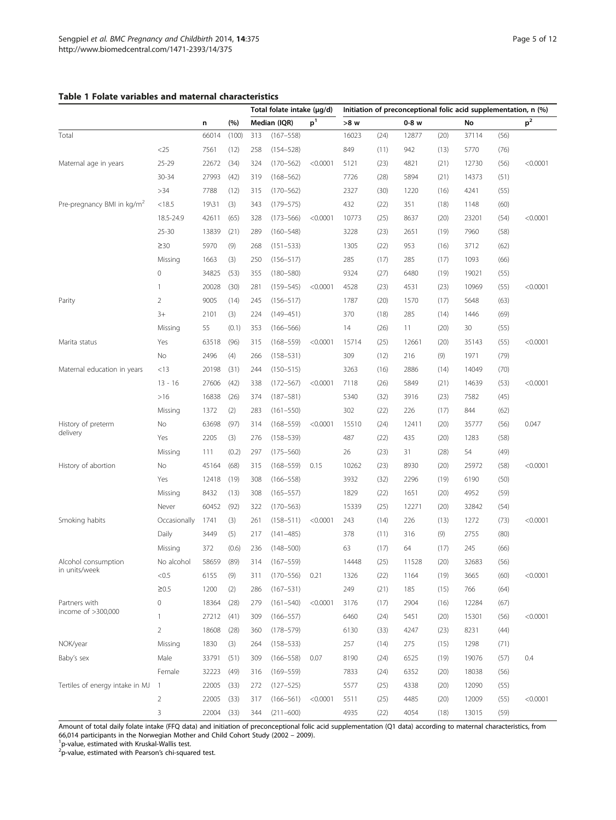#### <span id="page-4-0"></span>Table 1 Folate variables and maternal characteristics

|                                        |                |       |       | Total folate intake (µg/d) |               |                | Initiation of preconceptional folic acid supplementation, n (%) |      |         |      |       |      |                |
|----------------------------------------|----------------|-------|-------|----------------------------|---------------|----------------|-----------------------------------------------------------------|------|---------|------|-------|------|----------------|
|                                        |                | n     | (%)   |                            | Median (IQR)  | p <sup>1</sup> | >8 w                                                            |      | $0-8$ w |      | No    |      | p <sup>2</sup> |
| Total                                  |                | 66014 | (100) | 313                        | $(167 - 558)$ |                | 16023                                                           | (24) | 12877   | (20) | 37114 | (56) |                |
|                                        | $<$ 25         | 7561  | (12)  | 258                        | $(154 - 528)$ |                | 849                                                             | (11) | 942     | (13) | 5770  | (76) |                |
| Maternal age in years                  | $25 - 29$      | 22672 | (34)  | 324                        | $(170 - 562)$ | < 0.0001       | 5121                                                            | (23) | 4821    | (21) | 12730 | (56) | < 0.0001       |
|                                        | 30-34          | 27993 | (42)  | 319                        | $(168 - 562)$ |                | 7726                                                            | (28) | 5894    | (21) | 14373 | (51) |                |
|                                        | >34            | 7788  | (12)  | 315                        | $(170 - 562)$ |                | 2327                                                            | (30) | 1220    | (16) | 4241  | (55) |                |
| Pre-pregnancy BMI in kg/m <sup>2</sup> | < 18.5         | 19\31 | (3)   | 343                        | $(179 - 575)$ |                | 432                                                             | (22) | 351     | (18) | 1148  | (60) |                |
|                                        | 18.5-24.9      | 42611 | (65)  | 328                        | $(173 - 566)$ | < 0.0001       | 10773                                                           | (25) | 8637    | (20) | 23201 | (54) | < 0.0001       |
|                                        | $25 - 30$      | 13839 | (21)  | 289                        | $(160 - 548)$ |                | 3228                                                            | (23) | 2651    | (19) | 7960  | (58) |                |
|                                        | $\geq$ 30      | 5970  | (9)   | 268                        | $(151 - 533)$ |                | 1305                                                            | (22) | 953     | (16) | 3712  | (62) |                |
|                                        | Missing        | 1663  | (3)   | 250                        | $(156 - 517)$ |                | 285                                                             | (17) | 285     | (17) | 1093  | (66) |                |
|                                        | 0              | 34825 | (53)  | 355                        | $(180 - 580)$ |                | 9324                                                            | (27) | 6480    | (19) | 19021 | (55) |                |
|                                        | 1              | 20028 | (30)  | 281                        | $(159 - 545)$ | < 0.0001       | 4528                                                            | (23) | 4531    | (23) | 10969 | (55) | < 0.0001       |
| Parity                                 | $\overline{2}$ | 9005  | (14)  | 245                        | $(156 - 517)$ |                | 1787                                                            | (20) | 1570    | (17) | 5648  | (63) |                |
|                                        | $3+$           | 2101  | (3)   | 224                        | $(149 - 451)$ |                | 370                                                             | (18) | 285     | (14) | 1446  | (69) |                |
|                                        | Missing        | 55    | (0.1) | 353                        | $(166 - 566)$ |                | 14                                                              | (26) | 11      | (20) | 30    | (55) |                |
| Marita status                          | Yes            | 63518 | (96)  | 315                        | $(168 - 559)$ | < 0.0001       | 15714                                                           | (25) | 12661   | (20) | 35143 | (55) | < 0.0001       |
|                                        | No             | 2496  | (4)   | 266                        | $(158 - 531)$ |                | 309                                                             | (12) | 216     | (9)  | 1971  | (79) |                |
| Maternal education in years            | <13            | 20198 | (31)  | 244                        | $(150 - 515)$ |                | 3263                                                            | (16) | 2886    | (14) | 14049 | (70) |                |
|                                        | $13 - 16$      | 27606 | (42)  | 338                        | $(172 - 567)$ | < 0.0001       | 7118                                                            | (26) | 5849    | (21) | 14639 | (53) | < 0.0001       |
|                                        | $>16$          | 16838 | (26)  | 374                        | $(187 - 581)$ |                | 5340                                                            | (32) | 3916    | (23) | 7582  | (45) |                |
|                                        | Missing        | 1372  | (2)   | 283                        | $(161 - 550)$ |                | 302                                                             | (22) | 226     | (17) | 844   | (62) |                |
| History of preterm<br>delivery         | No             | 63698 | (97)  | 314                        | $(168 - 559)$ | < 0.0001       | 15510                                                           | (24) | 12411   | (20) | 35777 | (56) | 0.047          |
|                                        | Yes            | 2205  | (3)   | 276                        | $(158 - 539)$ |                | 487                                                             | (22) | 435     | (20) | 1283  | (58) |                |
|                                        | Missing        | 111   | (0.2) | 297                        | $(175 - 560)$ |                | 26                                                              | (23) | 31      | (28) | 54    | (49) |                |
| History of abortion                    | No             | 45164 | (68)  | 315                        | $(168 - 559)$ | 0.15           | 10262                                                           | (23) | 8930    | (20) | 25972 | (58) | < 0.0001       |
|                                        | Yes            | 12418 | (19)  | 308                        | $(166 - 558)$ |                | 3932                                                            | (32) | 2296    | (19) | 6190  | (50) |                |
|                                        | Missing        | 8432  | (13)  | 308                        | $(165 - 557)$ |                | 1829                                                            | (22) | 1651    | (20) | 4952  | (59) |                |
|                                        | Never          | 60452 | (92)  | 322                        | $(170 - 563)$ |                | 15339                                                           | (25) | 12271   | (20) | 32842 | (54) |                |
| Smoking habits                         | Occasionally   | 1741  | (3)   | 261                        | $(158 - 511)$ | < 0.0001       | 243                                                             | (14) | 226     | (13) | 1272  | (73) | < 0.0001       |
|                                        | Daily          | 3449  | (5)   | 217                        | $(141 - 485)$ |                | 378                                                             | (11) | 316     | (9)  | 2755  | (80) |                |
|                                        | Missing        | 372   | (0.6) | 236                        | $(148 - 500)$ |                | 63                                                              | (17) | 64      | (17) | 245   | (66) |                |
| Alcohol consumption                    | No alcohol     | 58659 | (89)  | 314                        | $(167 - 559)$ |                | 14448                                                           | (25) | 11528   | (20) | 32683 | (56) |                |
| in units/week                          | < 0.5          | 6155  | (9)   | 311                        | $(170 - 556)$ | 0.21           | 1326                                                            | (22) | 1164    | (19) | 3665  | (60) | < 0.0001       |
|                                        | $\geq0.5$      | 1200  | (2)   | 286                        | $(167 - 531)$ |                | 249                                                             | (21) | 185     | (15) | 766   | (64) |                |
| Partners with                          | $\mathbf 0$    | 18364 | (28)  | 279                        | $(161 - 540)$ | < 0.0001       | 3176                                                            | (17) | 2904    | (16) | 12284 | (67) |                |
| income of >300,000                     | $\mathbf{1}$   | 27212 | (41)  | 309                        | $(166 - 557)$ |                | 6460                                                            | (24) | 5451    | (20) | 15301 | (56) | < 0.0001       |
|                                        | $\overline{2}$ | 18608 | (28)  | 360                        | $(178 - 579)$ |                | 6130                                                            | (33) | 4247    | (23) | 8231  | (44) |                |
| NOK/year                               | Missing        | 1830  | (3)   | 264                        | $(158 - 533)$ |                | 257                                                             | (14) | 275     | (15) | 1298  | (71) |                |
| Baby's sex                             | Male           | 33791 | (51)  | 309                        | $(166 - 558)$ | 0.07           | 8190                                                            | (24) | 6525    | (19) | 19076 | (57) | 0.4            |
|                                        | Female         | 32223 | (49)  | 316                        | $(169 - 559)$ |                | 7833                                                            | (24) | 6352    | (20) | 18038 | (56) |                |
| Tertiles of energy intake in MJ        | $\overline{1}$ | 22005 | (33)  | 272                        | $(127 - 525)$ |                | 5577                                                            | (25) | 4338    | (20) | 12090 | (55) |                |
|                                        | $\overline{2}$ | 22005 | (33)  | 317                        | $(166 - 561)$ | < 0.0001       | 5511                                                            | (25) | 4485    | (20) | 12009 | (55) | < 0.0001       |
|                                        | 3              | 22004 | (33)  | 344                        | $(211 - 600)$ |                | 4935                                                            | (22) | 4054    | (18) | 13015 | (59) |                |

Amount of total daily folate intake (FFQ data) and initiation of preconceptional folic acid supplementation (Q1 data) according to maternal characteristics, from 66,014 participants in the Norwegian Mother and Child Cohort Study (2002 – 2009). <sup>1</sup>

'p-value, estimated with Kruskal-Wallis test.<br><sup>2</sup>p-value, estimated with Pearson's chi-squared test.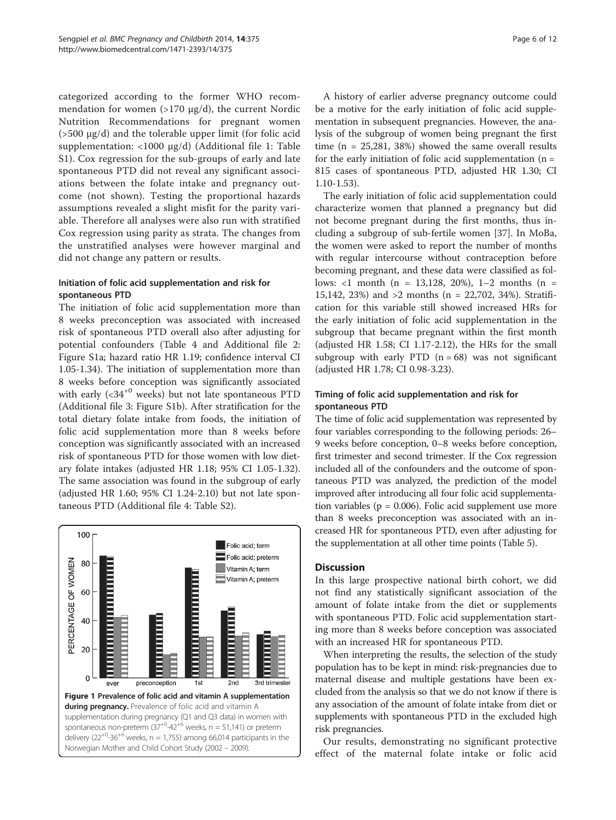<span id="page-5-0"></span>categorized according to the former WHO recommendation for women (>170 μg/d), the current Nordic Nutrition Recommendations for pregnant women (>500 μg/d) and the tolerable upper limit (for folic acid supplementation: <1000 μg/d) (Additional file [1:](#page-9-0) Table S1). Cox regression for the sub-groups of early and late spontaneous PTD did not reveal any significant associations between the folate intake and pregnancy outcome (not shown). Testing the proportional hazards assumptions revealed a slight misfit for the parity variable. Therefore all analyses were also run with stratified Cox regression using parity as strata. The changes from the unstratified analyses were however marginal and did not change any pattern or results.

## Initiation of folic acid supplementation and risk for spontaneous PTD

The initiation of folic acid supplementation more than 8 weeks preconception was associated with increased risk of spontaneous PTD overall also after adjusting for potential confounders (Table [4](#page-7-0) and Additional file [2](#page-9-0): Figure S1a; hazard ratio HR 1.19; confidence interval CI 1.05-1.34). The initiation of supplementation more than 8 weeks before conception was significantly associated with early  $( $34^{+0}$  weeks) but not late spontaneous PTD$ (Additional file [3:](#page-9-0) Figure S1b). After stratification for the total dietary folate intake from foods, the initiation of folic acid supplementation more than 8 weeks before conception was significantly associated with an increased risk of spontaneous PTD for those women with low dietary folate intakes (adjusted HR 1.18; 95% CI 1.05-1.32). The same association was found in the subgroup of early (adjusted HR 1.60; 95% CI 1.24-2.10) but not late spontaneous PTD (Additional file [4:](#page-9-0) Table S2).



A history of earlier adverse pregnancy outcome could be a motive for the early initiation of folic acid supplementation in subsequent pregnancies. However, the analysis of the subgroup of women being pregnant the first time (n = 25,281, 38%) showed the same overall results for the early initiation of folic acid supplementation  $(n =$ 815 cases of spontaneous PTD, adjusted HR 1.30; CI 1.10-1.53).

The early initiation of folic acid supplementation could characterize women that planned a pregnancy but did not become pregnant during the first months, thus including a subgroup of sub-fertile women [[37\]](#page-10-0). In MoBa, the women were asked to report the number of months with regular intercourse without contraception before becoming pregnant, and these data were classified as follows: <1 month (n = 13,128, 20%), 1–2 months (n = 15,142, 23%) and >2 months (n = 22,702, 34%). Stratification for this variable still showed increased HRs for the early initiation of folic acid supplementation in the subgroup that became pregnant within the first month (adjusted HR 1.58; CI 1.17-2.12), the HRs for the small subgroup with early PTD  $(n = 68)$  was not significant (adjusted HR 1.78; CI 0.98-3.23).

## Timing of folic acid supplementation and risk for spontaneous PTD

The time of folic acid supplementation was represented by four variables corresponding to the following periods: 26– 9 weeks before conception, 0–8 weeks before conception, first trimester and second trimester. If the Cox regression included all of the confounders and the outcome of spontaneous PTD was analyzed, the prediction of the model improved after introducing all four folic acid supplementation variables ( $p = 0.006$ ). Folic acid supplement use more than 8 weeks preconception was associated with an increased HR for spontaneous PTD, even after adjusting for the supplementation at all other time points (Table [5](#page-7-0)).

## **Discussion**

In this large prospective national birth cohort, we did not find any statistically significant association of the amount of folate intake from the diet or supplements with spontaneous PTD. Folic acid supplementation starting more than 8 weeks before conception was associated with an increased HR for spontaneous PTD.

When interpreting the results, the selection of the study population has to be kept in mind: risk-pregnancies due to maternal disease and multiple gestations have been excluded from the analysis so that we do not know if there is any association of the amount of folate intake from diet or supplements with spontaneous PTD in the excluded high risk pregnancies.

Our results, demonstrating no significant protective effect of the maternal folate intake or folic acid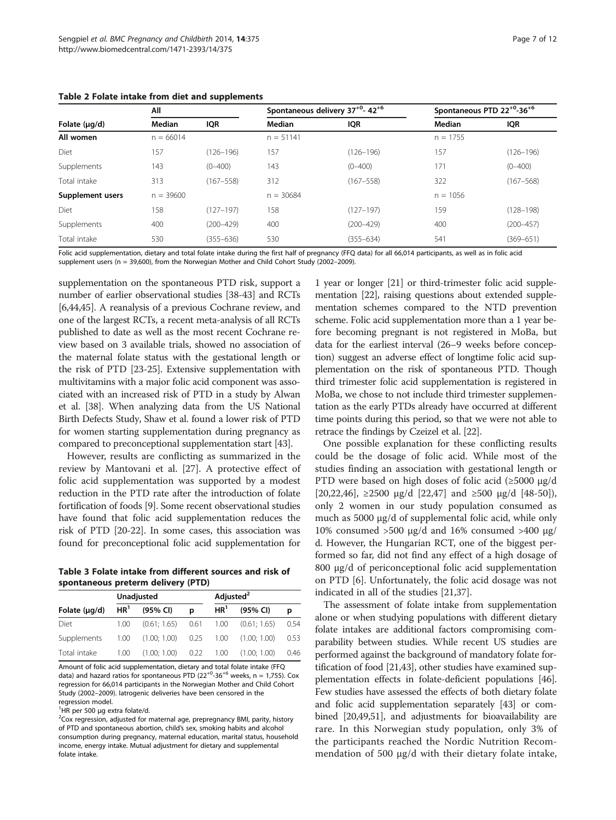|                    | All         |               |             | Spontaneous delivery 37 <sup>+0</sup> -42 <sup>+6</sup> |            | Spontaneous PTD 22 <sup>+0</sup> -36 <sup>+6</sup> |
|--------------------|-------------|---------------|-------------|---------------------------------------------------------|------------|----------------------------------------------------|
| Folate $(\mu q/d)$ | Median      | <b>IQR</b>    | Median      | <b>IQR</b>                                              | Median     | <b>IQR</b>                                         |
| All women          | $n = 66014$ |               | $n = 51141$ |                                                         | $n = 1755$ |                                                    |
| Diet               | 157         | $(126 - 196)$ | 157         | $(126 - 196)$                                           | 157        | $(126 - 196)$                                      |
| Supplements        | 143         | $(0 - 400)$   | 143         | $(0 - 400)$                                             | 171        | $(0 - 400)$                                        |
| Total intake       | 313         | $(167 - 558)$ | 312         | $(167 - 558)$                                           | 322        | $(167 - 568)$                                      |
| Supplement users   | $n = 39600$ |               | $n = 30684$ |                                                         | $n = 1056$ |                                                    |
| Diet               | 158         | $(127 - 197)$ | 158         | $(127 - 197)$                                           | 159        | $(128 - 198)$                                      |
| Supplements        | 400         | $(200 - 429)$ | 400         | $(200 - 429)$                                           | 400        | $(200 - 457)$                                      |
| Total intake       | 530         | $(355 - 636)$ | 530         | $(355 - 634)$                                           | 541        | $(369 - 651)$                                      |

<span id="page-6-0"></span>Table 2 Folate intake from diet and supplements

Folic acid supplementation, dietary and total folate intake during the first half of pregnancy (FFQ data) for all 66,014 participants, as well as in folic acid supplement users (n = 39,600), from the Norwegian Mother and Child Cohort Study (2002–2009).

supplementation on the spontaneous PTD risk, support a number of earlier observational studies [\[38-43\]](#page-10-0) and RCTs [[6,](#page-9-0)[44,45\]](#page-10-0). A reanalysis of a previous Cochrane review, and one of the largest RCTs, a recent meta-analysis of all RCTs published to date as well as the most recent Cochrane review based on 3 available trials, showed no association of the maternal folate status with the gestational length or the risk of PTD [\[23-25](#page-10-0)]. Extensive supplementation with multivitamins with a major folic acid component was associated with an increased risk of PTD in a study by Alwan et al. [[38](#page-10-0)]. When analyzing data from the US National Birth Defects Study, Shaw et al. found a lower risk of PTD for women starting supplementation during pregnancy as compared to preconceptional supplementation start [\[43](#page-10-0)].

However, results are conflicting as summarized in the review by Mantovani et al. [\[27](#page-10-0)]. A protective effect of folic acid supplementation was supported by a modest reduction in the PTD rate after the introduction of folate fortification of foods [\[9\]](#page-9-0). Some recent observational studies have found that folic acid supplementation reduces the risk of PTD [\[20-22\]](#page-10-0). In some cases, this association was found for preconceptional folic acid supplementation for

Table 3 Folate intake from different sources and risk of spontaneous preterm delivery (PTD)

|                    | Unadjusted |                             | Adjusted <sup>2</sup> |                 |                                         |      |
|--------------------|------------|-----------------------------|-----------------------|-----------------|-----------------------------------------|------|
| Folate $(\mu q/d)$ |            | $HR1$ (95% CI)              | D                     | HR <sup>1</sup> | (95% CI)                                | D    |
| Diet               | 1.00       |                             |                       |                 | $(0.61; 1.65)$ 0.61 1.00 $(0.61; 1.65)$ | 0.54 |
| Supplements        |            | 1.00 (1.00; 1.00) 0.25 1.00 |                       |                 | (1.00:1.00)                             | 0.53 |
| Total intake       | 1.00       | $(1.00; 1.00)$ 0.22 1.00    |                       |                 | (1.00; 1.00)                            | 0.46 |

Amount of folic acid supplementation, dietary and total folate intake (FFQ data) and hazard ratios for spontaneous PTD  $(22^{+0} - 36^{+6})$  weeks, n = 1,755). Cox regression for 66,014 participants in the Norwegian Mother and Child Cohort Study (2002–2009). Iatrogenic deliveries have been censored in the regression model.

<sup>1</sup>HR per 500 μg extra folate/d.

<sup>2</sup>Cox regression, adjusted for maternal age, prepregnancy BMI, parity, history of PTD and spontaneous abortion, child's sex, smoking habits and alcohol consumption during pregnancy, maternal education, marital status, household income, energy intake. Mutual adjustment for dietary and supplemental folate intake.

1 year or longer [[21](#page-10-0)] or third-trimester folic acid supplementation [\[22](#page-10-0)], raising questions about extended supplementation schemes compared to the NTD prevention scheme. Folic acid supplementation more than a 1 year before becoming pregnant is not registered in MoBa, but data for the earliest interval (26–9 weeks before conception) suggest an adverse effect of longtime folic acid supplementation on the risk of spontaneous PTD. Though third trimester folic acid supplementation is registered in MoBa, we chose to not include third trimester supplementation as the early PTDs already have occurred at different time points during this period, so that we were not able to retrace the findings by Czeizel et al. [\[22\]](#page-10-0).

One possible explanation for these conflicting results could be the dosage of folic acid. While most of the studies finding an association with gestational length or PTD were based on high doses of folic acid (≥5000 μg/d [[20,22,46\]](#page-10-0),  $\geq 2500 \text{ µg}/d$  [\[22,47\]](#page-10-0) and  $\geq 500 \text{ µg}/d$  [[48-50](#page-10-0)]), only 2 women in our study population consumed as much as 5000 μg/d of supplemental folic acid, while only 10% consumed >500 μg/d and 16% consumed >400 μg/ d. However, the Hungarian RCT, one of the biggest performed so far, did not find any effect of a high dosage of 800 μg/d of periconceptional folic acid supplementation on PTD [[6\]](#page-9-0). Unfortunately, the folic acid dosage was not indicated in all of the studies [\[21,37](#page-10-0)].

The assessment of folate intake from supplementation alone or when studying populations with different dietary folate intakes are additional factors compromising comparability between studies. While recent US studies are performed against the background of mandatory folate fortification of food [\[21,43\]](#page-10-0), other studies have examined supplementation effects in folate-deficient populations [[46](#page-10-0)]. Few studies have assessed the effects of both dietary folate and folic acid supplementation separately [\[43\]](#page-10-0) or combined [\[20,49,51\]](#page-10-0), and adjustments for bioavailability are rare. In this Norwegian study population, only 3% of the participants reached the Nordic Nutrition Recommendation of 500 μg/d with their dietary folate intake,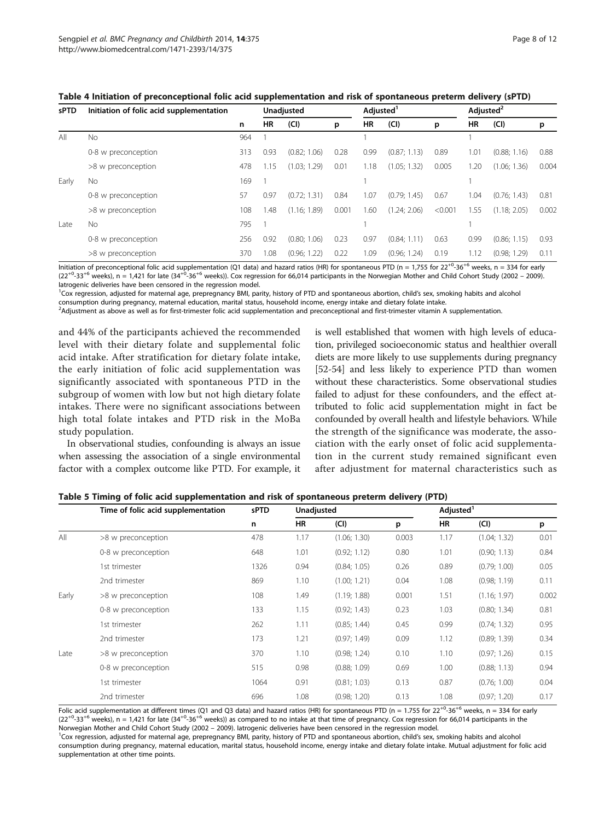<span id="page-7-0"></span>

| Table 4 Initiation of preconceptional folic acid supplementation and risk of spontaneous preterm delivery (sPTD) |
|------------------------------------------------------------------------------------------------------------------|
|------------------------------------------------------------------------------------------------------------------|

| <b>sPTD</b> | Initiation of folic acid supplementation |     | Unadjusted |              |       | Adjusted <sup>1</sup> |              |         | Adjusted <sup>2</sup> |              |       |
|-------------|------------------------------------------|-----|------------|--------------|-------|-----------------------|--------------|---------|-----------------------|--------------|-------|
|             |                                          | n   | HR         | (Cl)         | p     | HR                    | (CI)         | p       | HR                    | (Cl)         | p     |
| All         | No.                                      | 964 |            |              |       |                       |              |         |                       |              |       |
|             | 0-8 w preconception                      | 313 | 0.93       | (0.82; 1.06) | 0.28  | 0.99                  | (0.87; 1.13) | 0.89    | 1.01                  | (0.88; 1.16) | 0.88  |
|             | >8 w preconception                       | 478 | 1.15       | (1.03; 1.29) | 0.01  | 1.18                  | (1.05; 1.32) | 0.005   | 1.20                  | (1.06; 1.36) | 0.004 |
| Early       | No.                                      | 169 |            |              |       |                       |              |         |                       |              |       |
|             | 0-8 w preconception                      | 57  | 0.97       | (0.72; 1.31) | 0.84  | 1.07                  | (0.79; 1.45) | 0.67    | 1.04                  | (0.76; 1.43) | 0.81  |
|             | >8 w preconception                       | 108 | 1.48       | (1.16:1.89)  | 0.001 | 1.60                  | (1.24; 2.06) | < 0.001 | 1.55                  | (1.18; 2.05) | 0.002 |
| Late        | No.                                      | 795 |            |              |       |                       |              |         |                       |              |       |
|             | 0-8 w preconception                      | 256 | 0.92       | (0.80; 1.06) | 0.23  | 0.97                  | (0.84; 1.11) | 0.63    | 0.99                  | (0.86; 1.15) | 0.93  |
|             | >8 w preconception                       | 370 | 1.08       | (0.96; 1.22) | 0.22  | 1.09                  | (0.96; 1.24) | 0.19    | 1.12                  | (0.98; 1.29) | 0.11  |

Initiation of preconceptional folic acid supplementation (Q1 data) and hazard ratios (HR) for spontaneous PTD (n = 1,755 for  $22^{+0}$ -36<sup>+6</sup> weeks, n = 334 for early  $(22^{+0.33^{+6}}$  weeks), n = 1,421 for late  $(34^{+0.36^{+6}}$  weeks)). Cox regression for 66,014 participants in the Norwegian Mother and Child Cohort Study (2002 – 2009). Iatrogenic deliveries have been censored in the regression model.

<sup>1</sup>Cox regression, adjusted for maternal age, prepregnancy BMI, parity, history of PTD and spontaneous abortion, child's sex, smoking habits and alcohol consumption during pregnancy, maternal education, marital status, household income, energy intake and dietary folate intake.

<sup>2</sup>Adjustment as above as well as for first-trimester folic acid supplementation and preconceptional and first-trimester vitamin A supplementation.

and 44% of the participants achieved the recommended level with their dietary folate and supplemental folic acid intake. After stratification for dietary folate intake, the early initiation of folic acid supplementation was significantly associated with spontaneous PTD in the subgroup of women with low but not high dietary folate intakes. There were no significant associations between high total folate intakes and PTD risk in the MoBa study population.

In observational studies, confounding is always an issue when assessing the association of a single environmental factor with a complex outcome like PTD. For example, it

is well established that women with high levels of education, privileged socioeconomic status and healthier overall diets are more likely to use supplements during pregnancy [[52-54](#page-10-0)] and less likely to experience PTD than women without these characteristics. Some observational studies failed to adjust for these confounders, and the effect attributed to folic acid supplementation might in fact be confounded by overall health and lifestyle behaviors. While the strength of the significance was moderate, the association with the early onset of folic acid supplementation in the current study remained significant even after adjustment for maternal characteristics such as

|       | Time of folic acid supplementation | sPTD | Unadjusted |              |       | Adjusted <sup>1</sup> |              |       |  |
|-------|------------------------------------|------|------------|--------------|-------|-----------------------|--------------|-------|--|
|       |                                    | n    | HR         | (Cl)         | p     | HR                    | (Cl)         | p     |  |
| All   | >8 w preconception                 | 478  | 1.17       | (1.06; 1.30) | 0.003 | 1.17                  | (1.04; 1.32) | 0.01  |  |
|       | 0-8 w preconception                | 648  | 1.01       | (0.92; 1.12) | 0.80  | 1.01                  | (0.90; 1.13) | 0.84  |  |
|       | 1st trimester                      | 1326 | 0.94       | (0.84; 1.05) | 0.26  | 0.89                  | (0.79; 1.00) | 0.05  |  |
|       | 2nd trimester                      | 869  | 1.10       | (1.00; 1.21) | 0.04  | 1.08                  | (0.98; 1.19) | 0.11  |  |
| Early | >8 w preconception                 | 108  | 1.49       | (1.19; 1.88) | 0.001 | 1.51                  | (1.16; 1.97) | 0.002 |  |
|       | 0-8 w preconception                | 133  | 1.15       | (0.92; 1.43) | 0.23  | 1.03                  | (0.80; 1.34) | 0.81  |  |
|       | 1st trimester                      | 262  | 1.11       | (0.85; 1.44) | 0.45  | 0.99                  | (0.74; 1.32) | 0.95  |  |
|       | 2nd trimester                      | 173  | 1.21       | (0.97; 1.49) | 0.09  | 1.12                  | (0.89; 1.39) | 0.34  |  |
| Late  | >8 w preconception                 | 370  | 1.10       | (0.98; 1.24) | 0.10  | 1.10                  | (0.97; 1.26) | 0.15  |  |
|       | 0-8 w preconception                | 515  | 0.98       | (0.88; 1.09) | 0.69  | 1.00                  | (0.88; 1.13) | 0.94  |  |
|       | 1st trimester                      | 1064 | 0.91       | (0.81; 1.03) | 0.13  | 0.87                  | (0.76; 1.00) | 0.04  |  |
|       | 2nd trimester                      | 696  | 1.08       | (0.98; 1.20) | 0.13  | 1.08                  | (0.97; 1.20) | 0.17  |  |

|  |  | Table 5 Timing of folic acid supplementation and risk of spontaneous preterm delivery (PTD) |  |  |  |
|--|--|---------------------------------------------------------------------------------------------|--|--|--|
|--|--|---------------------------------------------------------------------------------------------|--|--|--|

Folic acid supplementation at different times (Q1 and Q3 data) and hazard ratios (HR) for spontaneous PTD (n = 1.755 for  $22^{+0}$ -36<sup>+6</sup> weeks, n = 334 for early  $(22^{+0.33^{+6}}$  weeks), n = 1,421 for late  $(34^{+0.36^{+6}}$  weeks)) as compared to no intake at that time of pregnancy. Cox regression for 66,014 participants in the Norwegian Mother and Child Cohort Study (2002 – 2009). Iatrogenic deliveries have been censored in the regression model. <sup>1</sup>

<sup>1</sup>Cox regression, adjusted for maternal age, prepregnancy BMI, parity, history of PTD and spontaneous abortion, child's sex, smoking habits and alcohol consumption during pregnancy, maternal education, marital status, household income, energy intake and dietary folate intake. Mutual adjustment for folic acid supplementation at other time points.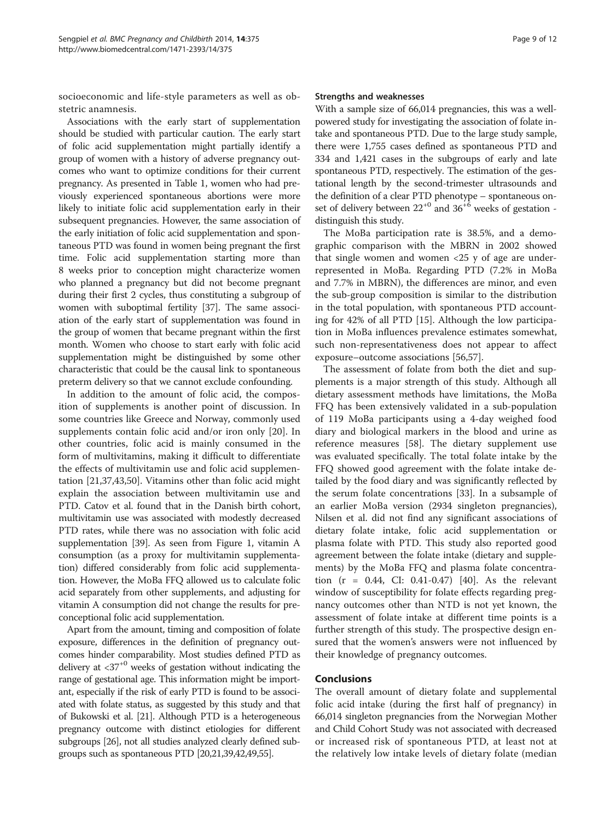socioeconomic and life-style parameters as well as obstetric anamnesis.

Associations with the early start of supplementation should be studied with particular caution. The early start of folic acid supplementation might partially identify a group of women with a history of adverse pregnancy outcomes who want to optimize conditions for their current pregnancy. As presented in Table [1,](#page-4-0) women who had previously experienced spontaneous abortions were more likely to initiate folic acid supplementation early in their subsequent pregnancies. However, the same association of the early initiation of folic acid supplementation and spontaneous PTD was found in women being pregnant the first time. Folic acid supplementation starting more than 8 weeks prior to conception might characterize women who planned a pregnancy but did not become pregnant during their first 2 cycles, thus constituting a subgroup of women with suboptimal fertility [\[37\]](#page-10-0). The same association of the early start of supplementation was found in the group of women that became pregnant within the first month. Women who choose to start early with folic acid supplementation might be distinguished by some other characteristic that could be the causal link to spontaneous preterm delivery so that we cannot exclude confounding.

In addition to the amount of folic acid, the composition of supplements is another point of discussion. In some countries like Greece and Norway, commonly used supplements contain folic acid and/or iron only [\[20\]](#page-10-0). In other countries, folic acid is mainly consumed in the form of multivitamins, making it difficult to differentiate the effects of multivitamin use and folic acid supplementation [[21](#page-10-0),[37](#page-10-0),[43](#page-10-0),[50](#page-10-0)]. Vitamins other than folic acid might explain the association between multivitamin use and PTD. Catov et al. found that in the Danish birth cohort, multivitamin use was associated with modestly decreased PTD rates, while there was no association with folic acid supplementation [\[39](#page-10-0)]. As seen from Figure [1](#page-5-0), vitamin A consumption (as a proxy for multivitamin supplementation) differed considerably from folic acid supplementation. However, the MoBa FFQ allowed us to calculate folic acid separately from other supplements, and adjusting for vitamin A consumption did not change the results for preconceptional folic acid supplementation.

Apart from the amount, timing and composition of folate exposure, differences in the definition of pregnancy outcomes hinder comparability. Most studies defined PTD as delivery at  $\langle 37^{+0}$  weeks of gestation without indicating the range of gestational age. This information might be important, especially if the risk of early PTD is found to be associated with folate status, as suggested by this study and that of Bukowski et al. [\[21\]](#page-10-0). Although PTD is a heterogeneous pregnancy outcome with distinct etiologies for different subgroups [[26](#page-10-0)], not all studies analyzed clearly defined subgroups such as spontaneous PTD [\[20,21,39,42,49,55\]](#page-10-0).

#### Strengths and weaknesses

With a sample size of 66,014 pregnancies, this was a wellpowered study for investigating the association of folate intake and spontaneous PTD. Due to the large study sample, there were 1,755 cases defined as spontaneous PTD and 334 and 1,421 cases in the subgroups of early and late spontaneous PTD, respectively. The estimation of the gestational length by the second-trimester ultrasounds and the definition of a clear PTD phenotype – spontaneous onset of delivery between  $22^{+0}$  and  $36^{+6}$  weeks of gestation distinguish this study.

The MoBa participation rate is 38.5%, and a demographic comparison with the MBRN in 2002 showed that single women and women  $\langle 25 \rangle$  y of age are underrepresented in MoBa. Regarding PTD (7.2% in MoBa and 7.7% in MBRN), the differences are minor, and even the sub-group composition is similar to the distribution in the total population, with spontaneous PTD accounting for 42% of all PTD [\[15](#page-9-0)]. Although the low participation in MoBa influences prevalence estimates somewhat, such non-representativeness does not appear to affect exposure–outcome associations [[56](#page-10-0),[57](#page-11-0)].

The assessment of folate from both the diet and supplements is a major strength of this study. Although all dietary assessment methods have limitations, the MoBa FFQ has been extensively validated in a sub-population of 119 MoBa participants using a 4-day weighed food diary and biological markers in the blood and urine as reference measures [\[58\]](#page-11-0). The dietary supplement use was evaluated specifically. The total folate intake by the FFQ showed good agreement with the folate intake detailed by the food diary and was significantly reflected by the serum folate concentrations [\[33](#page-10-0)]. In a subsample of an earlier MoBa version (2934 singleton pregnancies), Nilsen et al. did not find any significant associations of dietary folate intake, folic acid supplementation or plasma folate with PTD. This study also reported good agreement between the folate intake (dietary and supplements) by the MoBa FFQ and plasma folate concentration (r = 0.44, CI: 0.41-0.47) [\[40](#page-10-0)]. As the relevant window of susceptibility for folate effects regarding pregnancy outcomes other than NTD is not yet known, the assessment of folate intake at different time points is a further strength of this study. The prospective design ensured that the women's answers were not influenced by their knowledge of pregnancy outcomes.

#### Conclusions

The overall amount of dietary folate and supplemental folic acid intake (during the first half of pregnancy) in 66,014 singleton pregnancies from the Norwegian Mother and Child Cohort Study was not associated with decreased or increased risk of spontaneous PTD, at least not at the relatively low intake levels of dietary folate (median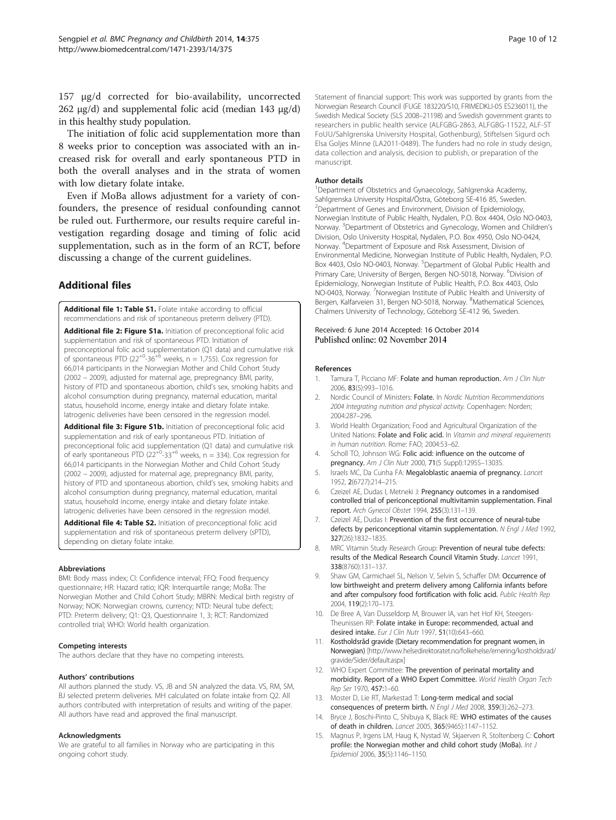<span id="page-9-0"></span>157 μg/d corrected for bio-availability, uncorrected  $262 \text{ μg/d}$ ) and supplemental folic acid (median 143 μg/d) in this healthy study population.

The initiation of folic acid supplementation more than 8 weeks prior to conception was associated with an increased risk for overall and early spontaneous PTD in both the overall analyses and in the strata of women with low dietary folate intake.

Even if MoBa allows adjustment for a variety of confounders, the presence of residual confounding cannot be ruled out. Furthermore, our results require careful investigation regarding dosage and timing of folic acid supplementation, such as in the form of an RCT, before discussing a change of the current guidelines.

## Additional files

[Additional file 1: Table S1.](http://www.biomedcentral.com/content/supplementary/s12884-014-0375-1-s1.doc) Folate intake according to official recommendations and risk of spontaneous preterm delivery (PTD).

[Additional file 2: Figure S1a.](http://www.biomedcentral.com/content/supplementary/s12884-014-0375-1-s2.tiff) Initiation of preconceptional folic acid supplementation and risk of spontaneous PTD. Initiation of preconceptional folic acid supplementation (Q1 data) and cumulative risk of spontaneous PTD ( $22^{+0}$ -36<sup>+6</sup> weeks, n = 1,755). Cox regression for 66,014 participants in the Norwegian Mother and Child Cohort Study (2002 – 2009), adjusted for maternal age, prepregnancy BMI, parity, history of PTD and spontaneous abortion, child's sex, smoking habits and alcohol consumption during pregnancy, maternal education, marital status, household income, energy intake and dietary folate intake. Iatrogenic deliveries have been censored in the regression model.

[Additional file 3: Figure S1b.](http://www.biomedcentral.com/content/supplementary/s12884-014-0375-1-s3.tiff) Initiation of preconceptional folic acid supplementation and risk of early spontaneous PTD. Initiation of preconceptional folic acid supplementation (Q1 data) and cumulative risk of early spontaneous PTD (22<sup>+0</sup>-33<sup>+6</sup> weeks, n = 334). Cox regression for 66,014 participants in the Norwegian Mother and Child Cohort Study (2002 – 2009), adjusted for maternal age, prepregnancy BMI, parity, history of PTD and spontaneous abortion, child's sex, smoking habits and alcohol consumption during pregnancy, maternal education, marital status, household income, energy intake and dietary folate intake. Iatrogenic deliveries have been censored in the regression model.

[Additional file 4: Table S2.](http://www.biomedcentral.com/content/supplementary/s12884-014-0375-1-s4.doc) Initiation of preconceptional folic acid supplementation and risk of spontaneous preterm delivery (sPTD), depending on dietary folate intake.

#### Abbreviations

BMI: Body mass index; CI: Confidence interval; FFQ: Food frequency questionnaire; HR: Hazard ratio; IQR: Interquartile range; MoBa: The Norwegian Mother and Child Cohort Study; MBRN: Medical birth registry of Norway; NOK: Norwegian crowns, currency; NTD: Neural tube defect; PTD: Preterm delivery; Q1: Q3, Questionnaire 1, 3; RCT: Randomized controlled trial; WHO: World health organization.

#### Competing interests

The authors declare that they have no competing interests.

#### Authors' contributions

All authors planned the study. VS, JB and SN analyzed the data. VS, RM, SM, BJ selected preterm deliveries. MH calculated on folate intake from Q2. All authors contributed with interpretation of results and writing of the paper. All authors have read and approved the final manuscript.

#### Acknowledgments

We are grateful to all families in Norway who are participating in this ongoing cohort study.

Statement of financial support: This work was supported by grants from the Norwegian Research Council (FUGE 183220/S10, FRIMEDKLI-05 ES236011), the Swedish Medical Society (SLS 2008–21198) and Swedish government grants to researchers in public health service (ALFGBG-2863, ALFGBG-11522, ALF-ST FoUU/Sahlgrenska University Hospital, Gothenburg), Stiftelsen Sigurd och Elsa Goljes Minne (LA2011-0489). The funders had no role in study design, data collection and analysis, decision to publish, or preparation of the manuscript.

#### Author details

<sup>1</sup>Department of Obstetrics and Gynaecology, Sahlgrenska Academy Sahlgrenska University Hospital/Östra, Göteborg SE-416 85, Sweden. 2 Department of Genes and Environment, Division of Epidemiology, Norwegian Institute of Public Health, Nydalen, P.O. Box 4404, Oslo NO-0403, Norway. <sup>3</sup>Department of Obstetrics and Gynecology, Women and Children's Division, Oslo University Hospital, Nydalen, P.O. Box 4950, Oslo NO-0424, Norway. <sup>4</sup> Department of Exposure and Risk Assessment, Division of Environmental Medicine, Norwegian Institute of Public Health, Nydalen, P.O. Box 4403, Oslo NO-0403, Norway. <sup>5</sup>Department of Global Public Health and Primary Care, University of Bergen, Bergen NO-5018, Norway. <sup>6</sup>Division of Epidemiology, Norwegian Institute of Public Health, P.O. Box 4403, Oslo NO-0403, Norway. <sup>7</sup>Norwegian Institute of Public Health and University of Bergen, Kalfarveien 31, Bergen NO-5018, Norway. <sup>8</sup>Mathematical Sciences Chalmers University of Technology, Göteborg SE-412 96, Sweden.

#### Received: 6 June 2014 Accepted: 16 October 2014 Published online: 02 November 2014

#### References

- 1. Tamura T, Picciano MF: Folate and human reproduction. Am J Clin Nutr 2006, 83(5):993–1016.
- **Nordic Council of Ministers: Folate. In Nordic Nutrition Recommendations** 2004 Integrating nutrition and physical activity. Copenhagen: Norden; 2004:287–296.
- 3. World Health Organization; Food and Agricultural Organization of the United Nations: Folate and Folic acid. In Vitamin and mineral requirements in human nutrition. Rome: FAO; 2004:53–62.
- Scholl TO, Johnson WG: Folic acid: influence on the outcome of pregnancy. Am J Clin Nutr 2000, 71(5 Suppl):1295S–1303S.
- 5. Israels MC, Da Cunha FA: Megaloblastic anaemia of pregnancy. Lancet 1952, 2(6727):214–215.
- 6. Czeizel AE, Dudas I, Metneki J: Pregnancy outcomes in a randomised controlled trial of periconceptional multivitamin supplementation. Final report. Arch Gynecol Obstet 1994, 255(3):131–139.
- 7. Czeizel AE, Dudas I: Prevention of the first occurrence of neural-tube defects by periconceptional vitamin supplementation. N Engl J Med 1992, 327(26):1832–1835.
- 8. MRC Vitamin Study Research Group: Prevention of neural tube defects: results of the Medical Research Council Vitamin Study. Lancet 1991, 338(8760):131–137.
- 9. Shaw GM, Carmichael SL, Nelson V, Selvin S, Schaffer DM: Occurrence of low birthweight and preterm delivery among California infants before and after compulsory food fortification with folic acid. Public Health Rep 2004, 119(2):170–173.
- 10. De Bree A, Van Dusseldorp M, Brouwer IA, van het Hof KH, Steegers-Theunissen RP: Folate intake in Europe: recommended, actual and desired intake. Eur J Clin Nutr 1997, 51(10):643–660.
- 11. Kostholdsråd gravide (Dietary recommendation for pregnant women, in Norwegian) [[http://www.helsedirektoratet.no/folkehelse/ernering/kostholdsrad/](http://www.helsedirektoratet.no/folkehelse/ernering/kostholdsrad/gravide/Sider/default.aspx) [gravide/Sider/default.aspx](http://www.helsedirektoratet.no/folkehelse/ernering/kostholdsrad/gravide/Sider/default.aspx)]
- 12. WHO Expert Committee: The prevention of perinatal mortality and morbidity. Report of a WHO Expert Committee. World Health Organ Tech Rep Ser 1970, 457:1–60.
- 13. Moster D, Lie RT, Markestad T: Long-term medical and social consequences of preterm birth. N Engl J Med 2008, 359(3):262–273.
- 14. Bryce J, Boschi-Pinto C, Shibuya K, Black RE: WHO estimates of the causes of death in children. Lancet 2005, 365(9465):1147–1152.
- 15. Magnus P, Irgens LM, Haug K, Nystad W, Skjaerven R, Stoltenberg C: Cohort profile: the Norwegian mother and child cohort study (MoBa). Int J Epidemiol 2006, 35(5):1146–1150.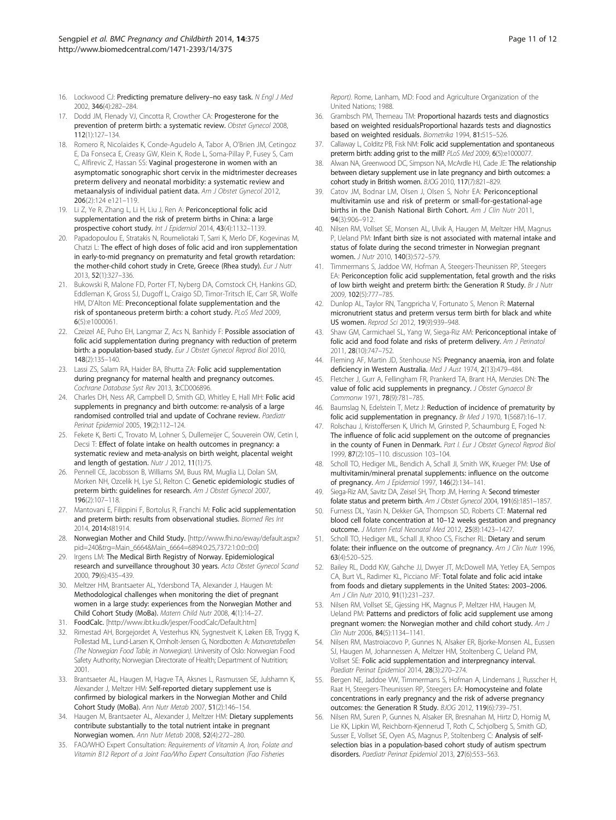- <span id="page-10-0"></span>16. Lockwood CJ: Predicting premature delivery-no easy task. N Engl J Med 2002, 346(4):282–284.
- 17. Dodd JM, Flenady VJ, Cincotta R, Crowther CA: Progesterone for the prevention of preterm birth: a systematic review. Obstet Gynecol 2008, 112(1):127–134.
- 18. Romero R, Nicolaides K, Conde-Agudelo A, Tabor A, O'Brien JM, Cetingoz E, Da Fonseca E, Creasy GW, Klein K, Rode L, Soma-Pillay P, Fusey S, Cam C, Alfirevic Z, Hassan SS: Vaginal progesterone in women with an asymptomatic sonographic short cervix in the midtrimester decreases preterm delivery and neonatal morbidity: a systematic review and metaanalysis of individual patient data. Am J Obstet Gynecol 2012, 206(2):124 e121–119.
- 19. Li Z, Ye R, Zhang L, Li H, Liu J, Ren A: Periconceptional folic acid supplementation and the risk of preterm births in China: a large prospective cohort study. Int J Epidemiol 2014, 43(4):1132–1139.
- 20. Papadopoulou E, Stratakis N, Roumeliotaki T, Sarri K, Merlo DF, Kogevinas M, Chatzi L: The effect of high doses of folic acid and iron supplementation in early-to-mid pregnancy on prematurity and fetal growth retardation: the mother-child cohort study in Crete, Greece (Rhea study). Eur J Nutr 2013, 52(1):327–336.
- 21. Bukowski R, Malone FD, Porter FT, Nyberg DA, Comstock CH, Hankins GD, Eddleman K, Gross SJ, Dugoff L, Craigo SD, Timor-Tritsch IE, Carr SR, Wolfe HM, D'Alton ME: Preconceptional folate supplementation and the risk of spontaneous preterm birth: a cohort study. PLoS Med 2009, 6(5):e1000061.
- 22. Czeizel AE, Puho EH, Langmar Z, Acs N, Banhidy F: Possible association of folic acid supplementation during pregnancy with reduction of preterm birth: a population-based study. Eur J Obstet Gynecol Reprod Biol 2010, 148(2):135–140.
- 23. Lassi ZS, Salam RA, Haider BA, Bhutta ZA: Folic acid supplementation during pregnancy for maternal health and pregnancy outcomes. Cochrane Database Syst Rev 2013, 3:CD006896.
- 24. Charles DH, Ness AR, Campbell D, Smith GD, Whitley E, Hall MH: Folic acid supplements in pregnancy and birth outcome: re-analysis of a large randomised controlled trial and update of Cochrane review. Paediatr Perinat Epidemiol 2005, 19(2):112–124.
- 25. Fekete K, Berti C, Trovato M, Lohner S, Dullemeijer C, Souverein OW, Cetin I, Decsi T: Effect of folate intake on health outcomes in pregnancy: a systematic review and meta-analysis on birth weight, placental weight and length of gestation. Nutr J 2012, 11(1):75.
- 26. Pennell CE, Jacobsson B, Williams SM, Buus RM, Muglia LJ, Dolan SM, Morken NH, Ozcelik H, Lye SJ, Relton C: Genetic epidemiologic studies of preterm birth: guidelines for research. Am J Obstet Gynecol 2007, 196(2):107–118.
- 27. Mantovani E, Filippini F, Bortolus R, Franchi M: Folic acid supplementation and preterm birth: results from observational studies. Biomed Res Int 2014, 2014:481914.
- 28. Norwegian Mother and Child Study. [\[http://www.fhi.no/eway/default.aspx?](http://www.fhi.no/eway/default.aspx?pid=240&trg=Main_6664&Main_6664=6894:0:25,7372:1:0:0:::0:0) [pid=240&trg=Main\\_6664&Main\\_6664=6894:0:25,7372:1:0:0:::0:0\]](http://www.fhi.no/eway/default.aspx?pid=240&trg=Main_6664&Main_6664=6894:0:25,7372:1:0:0:::0:0)
- 29. Irgens LM: The Medical Birth Registry of Norway. Epidemiological research and surveillance throughout 30 years. Acta Obstet Gynecol Scand 2000, 79(6):435–439.
- 30. Meltzer HM, Brantsaeter AL, Ydersbond TA, Alexander J, Haugen M: Methodological challenges when monitoring the diet of pregnant women in a large study: experiences from the Norwegian Mother and Child Cohort Study (MoBa). Matern Child Nutr 2008, 4(1):14–27.
- 31. FoodCalc. [<http://www.ibt.ku.dk/jesper/FoodCalc/Default.htm>]
- 32. Rimestad AH, Borgejordet A, Vesterhus KN, Sygnestveit K, Løken EB, Trygg K, Pollestad ML, Lund-Larsen K, Omholt-Jensen G, Nordbotten A: Matvaretabellen (The Norwegian Food Table, in Norwegian). University of Oslo: Norwegian Food Safety Authority; Norwegian Directorate of Health; Department of Nutrition; 2001.
- 33. Brantsaeter AL, Haugen M, Hagve TA, Aksnes L, Rasmussen SE, Julshamn K, Alexander J, Meltzer HM: Self-reported dietary supplement use is confirmed by biological markers in the Norwegian Mother and Child Cohort Study (MoBa). Ann Nutr Metab 2007, 51(2):146–154.
- 34. Haugen M, Brantsaeter AL, Alexander J, Meltzer HM: Dietary supplements contribute substantially to the total nutrient intake in pregnant Norwegian women. Ann Nutr Metab 2008, 52(4):272–280.
- 35. FAO/WHO Expert Consultation: Requirements of Vitamin A, Iron, Folate and Vitamin B12 Report of a Joint Fao/Who Expert Consultation (Fao Fisheries

Report). Rome, Lanham, MD: Food and Agriculture Organization of the United Nations; 1988.

- 36. Grambsch PM, Therneau TM: Proportional hazards tests and diagnostics based on weighted residualsProportional hazards tests and diagnostics based on weighted residuals. Biometrika 1994, 81:515–526.
- 37. Callaway L, Colditz PB, Fisk NM: Folic acid supplementation and spontaneous preterm birth: adding grist to the mill? PLoS Med 2009, 6(5):e1000077.
- 38. Alwan NA, Greenwood DC, Simpson NA, McArdle HJ, Cade JE: The relationship between dietary supplement use in late pregnancy and birth outcomes: a cohort study in British women. BJOG 2010, 117(7):821–829.
- 39. Catov JM, Bodnar LM, Olsen J, Olsen S, Nohr EA: Periconceptional multivitamin use and risk of preterm or small-for-gestational-age births in the Danish National Birth Cohort. Am J Clin Nutr 2011, 94(3):906–912.
- 40. Nilsen RM, Vollset SE, Monsen AL, Ulvik A, Haugen M, Meltzer HM, Magnus P, Ueland PM: Infant birth size is not associated with maternal intake and status of folate during the second trimester in Norwegian pregnant women. J Nutr 2010, 140(3):572–579.
- 41. Timmermans S, Jaddoe VW, Hofman A, Steegers-Theunissen RP, Steegers EA: Periconception folic acid supplementation, fetal growth and the risks of low birth weight and preterm birth: the Generation R Study. Br J Nutr 2009, 102(5):777–785.
- 42. Dunlop AL, Taylor RN, Tangpricha V, Fortunato S, Menon R: Maternal micronutrient status and preterm versus term birth for black and white US women. Reprod Sci 2012, 19(9):939–948.
- 43. Shaw GM, Carmichael SL, Yang W, Siega-Riz AM: Periconceptional intake of folic acid and food folate and risks of preterm delivery. Am J Perinatol 2011, 28(10):747–752.
- 44. Fleming AF, Martin JD, Stenhouse NS: Pregnancy anaemia, iron and folate deficiency in Western Australia. Med J Aust 1974, 2(13):479-484.
- 45. Fletcher J, Gurr A, Fellingham FR, Prankerd TA, Brant HA, Menzies DN: The value of folic acid supplements in pregnancy. J Obstet Gynaecol Br Commonw 1971, 78(9):781–785.
- 46. Baumslag N, Edelstein T, Metz J: Reduction of incidence of prematurity by folic acid supplementation in pregnancy. Br Med J 1970, 1(5687):16–17.
- 47. Rolschau J, Kristoffersen K, Ulrich M, Grinsted P, Schaumburg E, Foged N: The influence of folic acid supplement on the outcome of pregnancies in the county of Funen in Denmark. Part I. Eur J Obstet Gynecol Reprod Biol 1999, 87(2):105–110. discussion 103–104.
- 48. Scholl TO, Hediger ML, Bendich A, Schall JI, Smith WK, Krueger PM: Use of multivitamin/mineral prenatal supplements: influence on the outcome of pregnancy. Am J Epidemiol 1997, 146(2):134–141.
- 49. Siega-Riz AM, Savitz DA, Zeisel SH, Thorp JM, Herring A: Second trimester folate status and preterm birth. Am J Obstet Gynecol 2004, 191(6):1851–1857.
- 50. Furness DL, Yasin N, Dekker GA, Thompson SD, Roberts CT: Maternal red blood cell folate concentration at 10–12 weeks gestation and pregnancy outcome. J Matern Fetal Neonatal Med 2012, 25(8):1423–1427.
- 51. Scholl TO, Hediger ML, Schall JI, Khoo CS, Fischer RL: Dietary and serum folate: their influence on the outcome of pregnancy. Am J Clin Nutr 1996, 63(4):520–525.
- 52. Bailey RL, Dodd KW, Gahche JJ, Dwyer JT, McDowell MA, Yetley EA, Sempos CA, Burt VL, Radimer KL, Picciano MF: Total folate and folic acid intake from foods and dietary supplements in the United States: 2003–2006. Am J Clin Nutr 2010, 91(1):231–237.
- 53. Nilsen RM, Vollset SE, Gjessing HK, Magnus P, Meltzer HM, Haugen M, Ueland PM: Patterns and predictors of folic acid supplement use among pregnant women: the Norwegian mother and child cohort study. Am J Clin Nutr 2006, 84(5):1134–1141.
- 54. Nilsen RM, Mastroiacovo P, Gunnes N, Alsaker ER, Bjorke-Monsen AL, Eussen SJ, Haugen M, Johannessen A, Meltzer HM, Stoltenberg C, Ueland PM, Vollset SE: Folic acid supplementation and interpregnancy interval. Paediatr Perinat Epidemiol 2014, 28(3):270–274.
- 55. Bergen NE, Jaddoe VW, Timmermans S, Hofman A, Lindemans J, Russcher H, Raat H, Steegers-Theunissen RP, Steegers EA: Homocysteine and folate concentrations in early pregnancy and the risk of adverse pregnancy outcomes: the Generation R Study. BJOG 2012, 119(6):739–751.
- 56. Nilsen RM, Suren P, Gunnes N, Alsaker ER, Bresnahan M, Hirtz D, Hornig M, Lie KK, Lipkin WI, Reichborn-Kjennerud T, Roth C, Schjolberg S, Smith GD, Susser E, Vollset SE, Oyen AS, Magnus P, Stoltenberg C: Analysis of selfselection bias in a population-based cohort study of autism spectrum disorders. Paediatr Perinat Epidemiol 2013, 27(6):553–563.